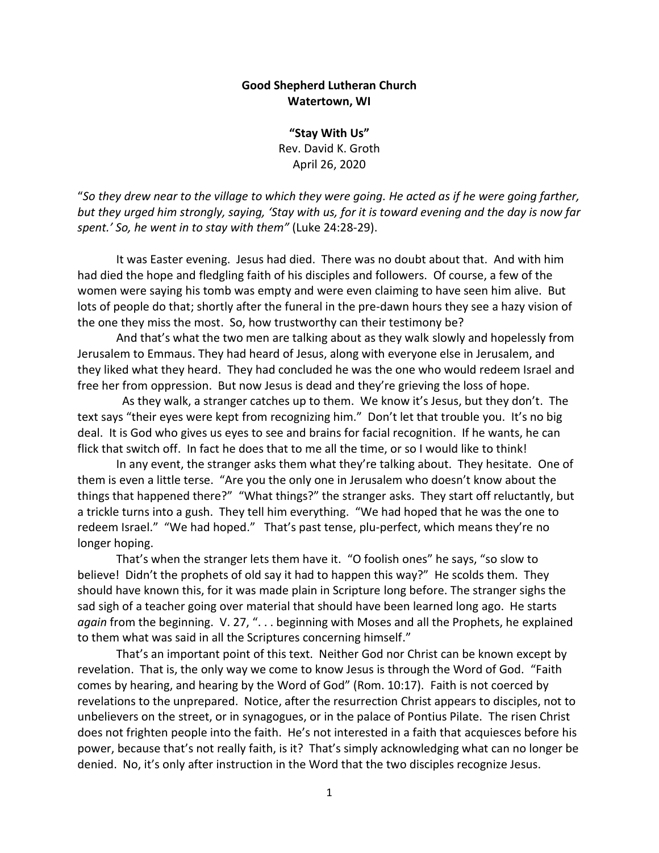## **Good Shepherd Lutheran Church Watertown, WI**

**"Stay With Us"** Rev. David K. Groth April 26, 2020

"*So they drew near to the village to which they were going. He acted as if he were going farther, but they urged him strongly, saying, 'Stay with us, for it is toward evening and the day is now far spent.' So, he went in to stay with them"* (Luke 24:28-29).

It was Easter evening. Jesus had died. There was no doubt about that. And with him had died the hope and fledgling faith of his disciples and followers. Of course, a few of the women were saying his tomb was empty and were even claiming to have seen him alive. But lots of people do that; shortly after the funeral in the pre-dawn hours they see a hazy vision of the one they miss the most. So, how trustworthy can their testimony be?

And that's what the two men are talking about as they walk slowly and hopelessly from Jerusalem to Emmaus. They had heard of Jesus, along with everyone else in Jerusalem, and they liked what they heard. They had concluded he was the one who would redeem Israel and free her from oppression. But now Jesus is dead and they're grieving the loss of hope.

 As they walk, a stranger catches up to them. We know it's Jesus, but they don't. The text says "their eyes were kept from recognizing him." Don't let that trouble you. It's no big deal. It is God who gives us eyes to see and brains for facial recognition. If he wants, he can flick that switch off. In fact he does that to me all the time, or so I would like to think!

In any event, the stranger asks them what they're talking about. They hesitate. One of them is even a little terse. "Are you the only one in Jerusalem who doesn't know about the things that happened there?" "What things?" the stranger asks. They start off reluctantly, but a trickle turns into a gush. They tell him everything. "We had hoped that he was the one to redeem Israel." "We had hoped." That's past tense, plu-perfect, which means they're no longer hoping.

That's when the stranger lets them have it. "O foolish ones" he says, "so slow to believe! Didn't the prophets of old say it had to happen this way?" He scolds them. They should have known this, for it was made plain in Scripture long before. The stranger sighs the sad sigh of a teacher going over material that should have been learned long ago. He starts *again* from the beginning. V. 27, ". . . beginning with Moses and all the Prophets, he explained to them what was said in all the Scriptures concerning himself."

That's an important point of this text. Neither God nor Christ can be known except by revelation. That is, the only way we come to know Jesus is through the Word of God. "Faith comes by hearing, and hearing by the Word of God" (Rom. 10:17). Faith is not coerced by revelations to the unprepared. Notice, after the resurrection Christ appears to disciples, not to unbelievers on the street, or in synagogues, or in the palace of Pontius Pilate. The risen Christ does not frighten people into the faith. He's not interested in a faith that acquiesces before his power, because that's not really faith, is it? That's simply acknowledging what can no longer be denied. No, it's only after instruction in the Word that the two disciples recognize Jesus.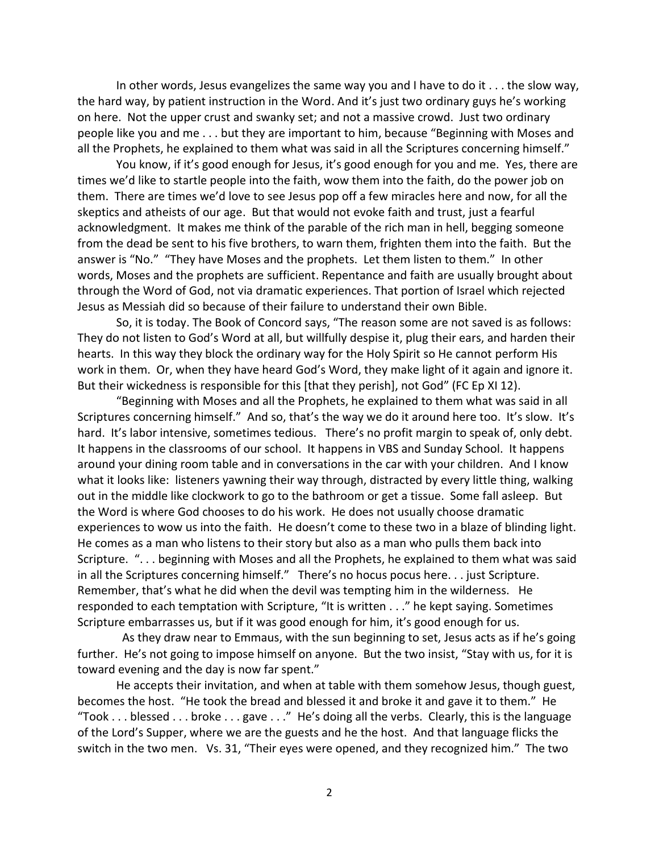In other words, Jesus evangelizes the same way you and I have to do it . . . the slow way, the hard way, by patient instruction in the Word. And it's just two ordinary guys he's working on here. Not the upper crust and swanky set; and not a massive crowd. Just two ordinary people like you and me . . . but they are important to him, because "Beginning with Moses and all the Prophets, he explained to them what was said in all the Scriptures concerning himself."

You know, if it's good enough for Jesus, it's good enough for you and me. Yes, there are times we'd like to startle people into the faith, wow them into the faith, do the power job on them. There are times we'd love to see Jesus pop off a few miracles here and now, for all the skeptics and atheists of our age. But that would not evoke faith and trust, just a fearful acknowledgment. It makes me think of the parable of the rich man in hell, begging someone from the dead be sent to his five brothers, to warn them, frighten them into the faith. But the answer is "No." "They have Moses and the prophets. Let them listen to them." In other words, Moses and the prophets are sufficient. Repentance and faith are usually brought about through the Word of God, not via dramatic experiences. That portion of Israel which rejected Jesus as Messiah did so because of their failure to understand their own Bible.

So, it is today. The Book of Concord says, "The reason some are not saved is as follows: They do not listen to God's Word at all, but willfully despise it, plug their ears, and harden their hearts. In this way they block the ordinary way for the Holy Spirit so He cannot perform His work in them. Or, when they have heard God's Word, they make light of it again and ignore it. But their wickedness is responsible for this [that they perish], not God" (FC Ep XI 12).

"Beginning with Moses and all the Prophets, he explained to them what was said in all Scriptures concerning himself." And so, that's the way we do it around here too. It's slow. It's hard. It's labor intensive, sometimes tedious. There's no profit margin to speak of, only debt. It happens in the classrooms of our school. It happens in VBS and Sunday School. It happens around your dining room table and in conversations in the car with your children. And I know what it looks like: listeners yawning their way through, distracted by every little thing, walking out in the middle like clockwork to go to the bathroom or get a tissue. Some fall asleep. But the Word is where God chooses to do his work. He does not usually choose dramatic experiences to wow us into the faith. He doesn't come to these two in a blaze of blinding light. He comes as a man who listens to their story but also as a man who pulls them back into Scripture. "... beginning with Moses and all the Prophets, he explained to them what was said in all the Scriptures concerning himself." There's no hocus pocus here. . . just Scripture. Remember, that's what he did when the devil was tempting him in the wilderness. He responded to each temptation with Scripture, "It is written . . ." he kept saying. Sometimes Scripture embarrasses us, but if it was good enough for him, it's good enough for us.

 As they draw near to Emmaus, with the sun beginning to set, Jesus acts as if he's going further. He's not going to impose himself on anyone. But the two insist, "Stay with us, for it is toward evening and the day is now far spent."

He accepts their invitation, and when at table with them somehow Jesus, though guest, becomes the host. "He took the bread and blessed it and broke it and gave it to them." He "Took . . . blessed . . . broke . . . gave . . ." He's doing all the verbs. Clearly, this is the language of the Lord's Supper, where we are the guests and he the host. And that language flicks the switch in the two men. Vs. 31, "Their eyes were opened, and they recognized him." The two